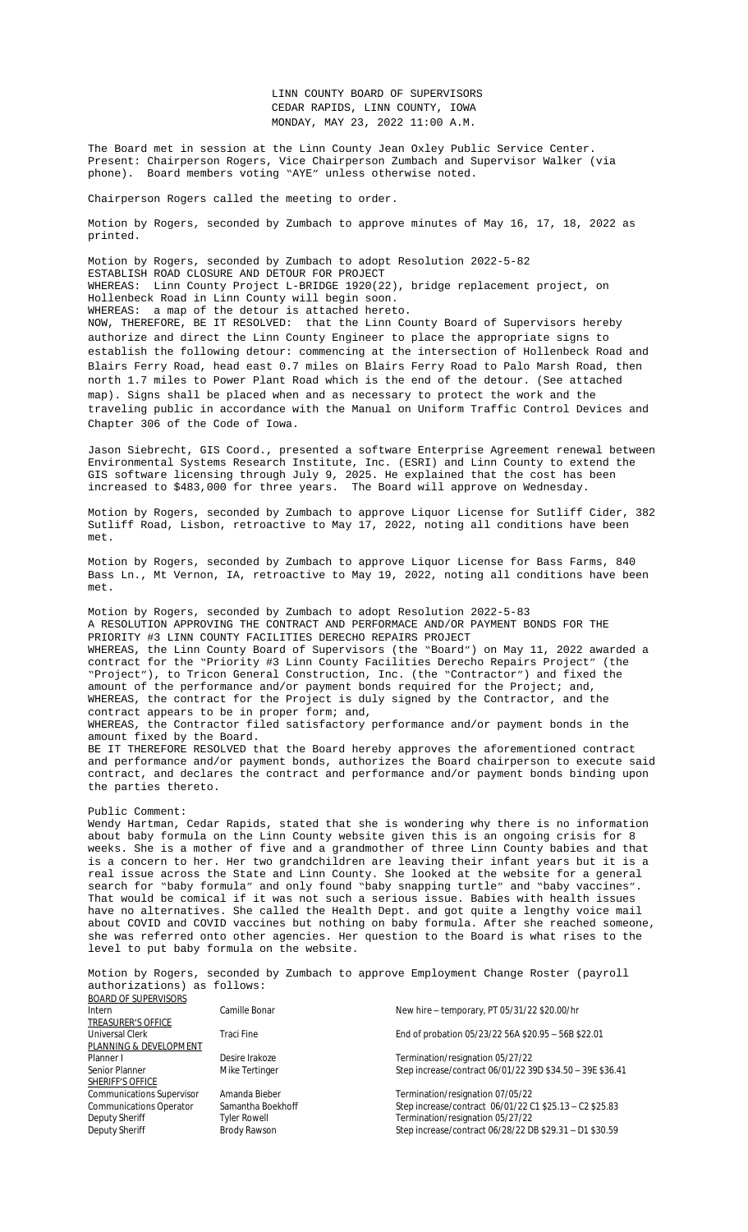Motion by Rogers, seconded by Zumbach to adopt Resolution 2022-5-82 ESTABLISH ROAD CLOSURE AND DETOUR FOR PROJECT WHEREAS: Linn County Project L-BRIDGE 1920(22), bridge replacement project, on Hollenbeck Road in Linn County will begin soon. WHEREAS: a map of the detour is attached hereto. NOW, THEREFORE, BE IT RESOLVED: that the Linn County Board of Supervisors hereby authorize and direct the Linn County Engineer to place the appropriate signs to establish the following detour: commencing at the intersection of Hollenbeck Road and Blairs Ferry Road, head east 0.7 miles on Blairs Ferry Road to Palo Marsh Road, then north 1.7 miles to Power Plant Road which is the end of the detour. (See attached map). Signs shall be placed when and as necessary to protect the work and the traveling public in accordance with the Manual on Uniform Traffic Control Devices and Chapter 306 of the Code of Iowa.

Jason Siebrecht, GIS Coord., presented a software Enterprise Agreement renewal between Environmental Systems Research Institute, Inc. (ESRI) and Linn County to extend the GIS software licensing through July 9, 2025. He explained that the cost has been increased to \$483,000 for three years. The Board will approve on Wednesday.

Motion by Rogers, seconded by Zumbach to approve Liquor License for Sutliff Cider, 382 Sutliff Road, Lisbon, retroactive to May 17, 2022, noting all conditions have been met.

Motion by Rogers, seconded by Zumbach to approve Liquor License for Bass Farms, 840 Bass Ln., Mt Vernon, IA, retroactive to May 19, 2022, noting all conditions have been met.

Motion by Rogers, seconded by Zumbach to adopt Resolution 2022-5-83 A RESOLUTION APPROVING THE CONTRACT AND PERFORMACE AND/OR PAYMENT BONDS FOR THE PRIORITY #3 LINN COUNTY FACILITIES DERECHO REPAIRS PROJECT WHEREAS, the Linn County Board of Supervisors (the "Board") on May 11, 2022 awarded a contract for the "Priority #3 Linn County Facilities Derecho Repairs Project" (the "Project"), to Tricon General Construction, Inc. (the "Contractor") and fixed the amount of the performance and/or payment bonds required for the Project; and, WHEREAS, the contract for the Project is duly signed by the Contractor, and the contract appears to be in proper form; and, [WHEREAS, the Contractor filed satisfactory per](Documents/5-23%20EsriQuote_LinnCoIA_SGEA_Q-439315-20220408-1232.pdf)formance and/or payment bonds in the amount fixed by the Board. BE IT THEREFORE RESOLVED that the Board hereby approves the aforementioned contract

and performance and/or payment bonds, authorizes the Board chairperson to execute said contract, and declares the contract and performance and/or payment bonds binding upon the parties thereto.

## Public Comment:

Wendy Hartman, Cedar Rapids, stated that she is wondering why there is no information about baby formula on the Linn County website given this is an ongoing crisis for 8 weeks. She is a mother of five and a grandmother of three Linn County babies and that is a concern to her. Her two grandchildren are leaving their infant years but it is a real issue across the State and Linn County. She looked at the website for a general search for "baby formula" and only found "baby snapping turtle" and "baby vaccines". That would be comical if it was not such a serious issue. Babies with health issues have no alternatives. She called the Health Dept. and got quite a lengthy voice mail about COVID and COVID vaccines but nothing on baby formula. After she reached someone, she was referred onto other agencies. Her question to the Board is what rises to the level to put baby formula on the website.

Motion by Rogers, seconded by Zumbach to approve Employment Change Roster (payroll authorizations) as follows: BOARD OF SUPERVISORS

| <b>DOMIND OF SOF LIVESORS</b>    |                     |                                                           |
|----------------------------------|---------------------|-----------------------------------------------------------|
| Intern                           | Camille Bonar       | New hire - temporary, PT 05/31/22 \$20.00/hr              |
| <b>TREASURER'S OFFICE</b>        |                     |                                                           |
| Universal Clerk                  | Traci Fine          | End of probation 05/23/22 56A \$20.95 - 56B \$22.01       |
| PLANNING & DEVELOPMENT           |                     |                                                           |
| Planner I                        | Desire Irakoze      | Termination/resignation 05/27/22                          |
| Senior Planner                   | Mike Tertinger      | Step increase/contract 06/01/22 39D \$34.50 - 39E \$36.41 |
| SHERIFF'S OFFICE                 |                     |                                                           |
| <b>Communications Supervisor</b> | Amanda Bieber       | Termination/resignation 07/05/22                          |
| <b>Communications Operator</b>   | Samantha Boekhoff   | Step increase/contract 06/01/22 C1 \$25.13 - C2 \$25.83   |
| Deputy Sheriff                   | <b>Tyler Rowell</b> | Termination/resignation 05/27/22                          |
| Deputy Sheriff                   | Brody Rawson        | Step increase/contract 06/28/22 DB \$29.31 - D1 \$30.59   |
|                                  |                     |                                                           |